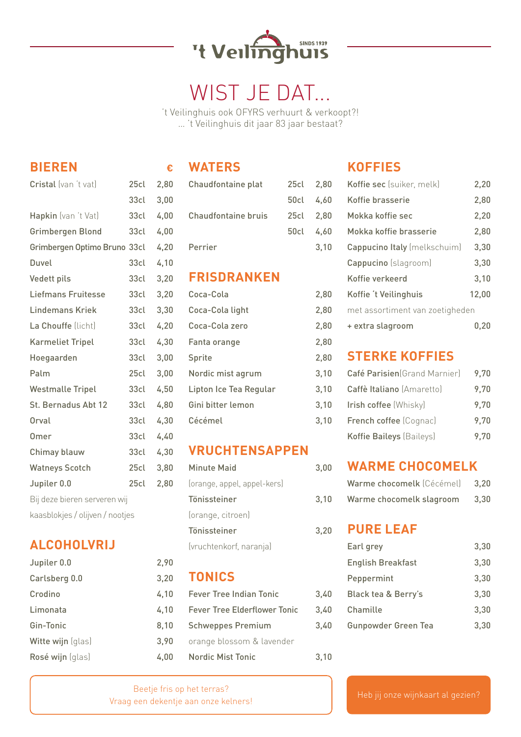

# WIST JE DAT...

't Veilinghuis ook OFYRS verhuurt & verkoopt?! … 't Veilinghuis dit jaar 83 jaar bestaat?

## **BIEREN €**

| Cristal (van 't vat)            | 25 <sub>cl</sub> | 2,80 |  |
|---------------------------------|------------------|------|--|
|                                 | 33 <sub>cl</sub> | 3,00 |  |
| Hapkin (van 't Vat)             | 33 <sub>cl</sub> | 4,00 |  |
| Grimbergen Blond                | 33 <sub>cl</sub> | 4,00 |  |
| Grimbergen Optimo Bruno 33cl    |                  | 4,20 |  |
| Duvel                           | 33 <sub>cl</sub> | 4,10 |  |
| Vedett pils                     | 33cl             | 3,20 |  |
| <b>Liefmans Fruitesse</b>       | 33cl             | 3,20 |  |
| <b>Lindemans Kriek</b>          | 33 <sub>cl</sub> | 3,30 |  |
| La Chouffe (licht)              | 33 <sub>cl</sub> | 4,20 |  |
| <b>Karmeliet Tripel</b>         | 33 <sub>cl</sub> | 4,30 |  |
| Hoegaarden                      | 33 <sub>cl</sub> | 3,00 |  |
| Palm                            | 25 <sub>cl</sub> | 3,00 |  |
| <b>Westmalle Tripel</b>         | 33cl             | 4,50 |  |
| St. Bernadus Abt 12             | 33cl             | 4,80 |  |
| Orval                           | 33 <sub>cl</sub> | 4,30 |  |
| <b>Omer</b>                     | 33 <sub>cl</sub> | 4,40 |  |
| Chimay blauw                    | 33cl             | 4,30 |  |
| <b>Watneys Scotch</b>           | 25cl             | 3,80 |  |
| Jupiler 0.0                     | 25cl             | 2,80 |  |
| Bij deze bieren serveren wij    |                  |      |  |
| kaasblokjes / olijven / nootjes |                  |      |  |

## **ALCOHOLVRIJ**

| Jupiler 0.0       |
|-------------------|
| Carlsberg 0.0     |
| Crodino           |
| Limonata          |
| Gin-Tonic         |
| Witte wijn (glas) |
| Rosé wijn (glas)  |
|                   |

#### **WATERS**

| Chaudfontaine plat         | 25cl 2,80 |      |
|----------------------------|-----------|------|
|                            | 50cl 4,60 |      |
| <b>Chaudfontaine bruis</b> | 25cl 2.80 |      |
|                            | 50cl 4.60 |      |
| Perrier                    |           | 3.10 |

### **FRISDRANKEN**

| Coca-Cola              | 2,80 |
|------------------------|------|
| Coca-Cola light        | 2,80 |
| Coca-Cola zero         | 2,80 |
| Fanta orange           | 2,80 |
| Sprite                 | 2,80 |
| Nordic mist agrum      | 3,10 |
| Lipton Ice Tea Regular | 3,10 |
| Gini bitter lemon      | 3,10 |
| Cécémel                | 3,10 |

## **VRUCHTENSAPPEN**

| Minute Maid                 | 3.00 |
|-----------------------------|------|
| (orange, appel, appel-kers) |      |
| Tönissteiner                | 3,10 |
| (orange, citroen)           |      |
| Tönissteiner                | 3,20 |
| (vruchtenkorf, naranja)     |      |

#### **TONICS**

| 4,10 | <b>Fever Tree Indian Tonic</b> |
|------|--------------------------------|
| 4,10 | Fever Tree Elderflower Tonic   |
| 8,10 | <b>Schweppes Premium</b>       |
| 3.90 | orange blossom & lavender      |
| 4.00 | Nordic Mist Tonic              |

## **KOFFIES**

| Koffie sec (suiker, melk)       | 2,20  |
|---------------------------------|-------|
| Koffie brasserie                | 2,80  |
| Mokka koffie sec                | 2,20  |
| Mokka koffie brasserie          | 2,80  |
| Cappucino Italy (melkschuim)    | 3,30  |
| Cappucino (slagroom)            | 3,30  |
| Koffie verkeerd                 | 3,10  |
| Koffie 't Veilinghuis           | 12,00 |
| met assortiment van zoetigheden |       |
| + extra slagroom                | u.zu  |
|                                 |       |

### **STERKE KOFFIES**

| Café Parisien (Grand Marnier) | 9.70 |
|-------------------------------|------|
| Caffè Italiano (Amaretto)     | 9.70 |
| Irish coffee (Whisky)         | 9.70 |
| French coffee (Cognac)        | 9.70 |
| Koffie Baileys (Baileys)      | 9.70 |

## **WARME CHOCOMELK**

| Warme chocomelk (Cécémel) | 3,20 |
|---------------------------|------|
| Warme chocomelk slagroom  | 3.30 |

## **PURE LEAF**

 $3,40$  $3,40$  $3,40$ 

 $3,10$ 

| Earl grey                      | 3,30 |
|--------------------------------|------|
| English Breakfast              | 3,30 |
| Peppermint                     | 3,30 |
| <b>Black tea &amp; Berry's</b> | 3,30 |
| Chamille                       | 3,30 |
| <b>Gunpowder Green Tea</b>     | 3,30 |
|                                |      |

Beetje fris op het terras? Vraag een dekentje aan onze kelners! Heb jij onze wijnkaart al gezien?

 $2.90$  $3,20$